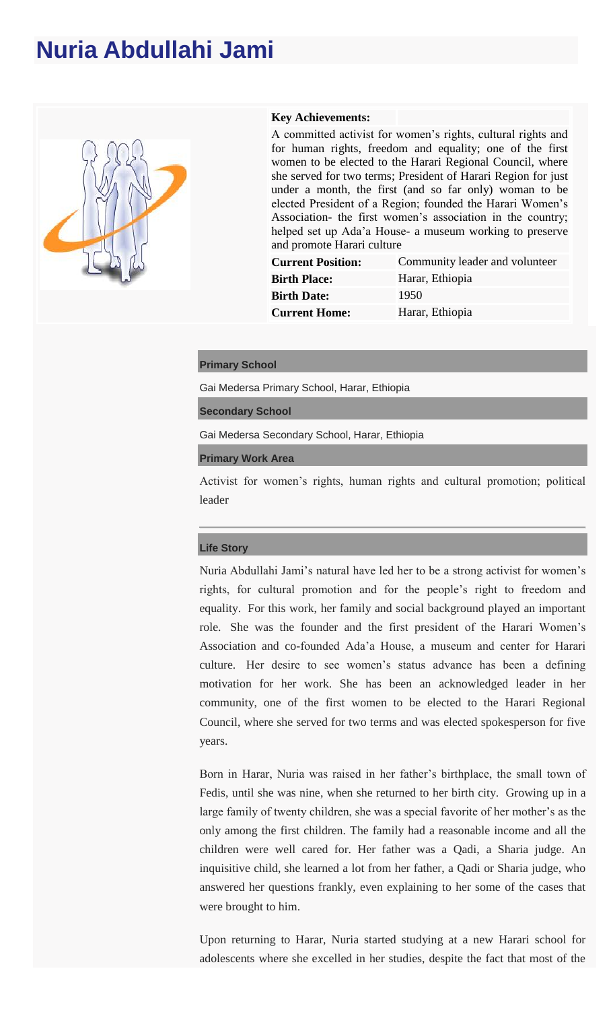# **Nuria Abdullahi Jami**



### **Key Achievements:**

A committed activist for women's rights, cultural rights and for human rights, freedom and equality; one of the first women to be elected to the Harari Regional Council, where she served for two terms; President of Harari Region for just under a month, the first (and so far only) woman to be elected President of a Region; founded the Harari Women's Association- the first women's association in the country; helped set up Ada'a House- a museum working to preserve and promote Harari culture

| <b>Current Position:</b> | Community leader and volunteer |
|--------------------------|--------------------------------|
| <b>Birth Place:</b>      | Harar, Ethiopia                |
| <b>Birth Date:</b>       | 1950                           |
| <b>Current Home:</b>     | Harar, Ethiopia                |
|                          |                                |

#### **Primary School**

Gai Medersa Primary School, Harar, Ethiopia

**Secondary School**

Gai Medersa Secondary School, Harar, Ethiopia

**Primary Work Area**

Activist for women's rights, human rights and cultural promotion; political leader

#### **Life Story**

Nuria Abdullahi Jami's natural have led her to be a strong activist for women's rights, for cultural promotion and for the people's right to freedom and equality. For this work, her family and social background played an important role. She was the founder and the first president of the Harari Women's Association and co-founded Ada'a House, a museum and center for Harari culture. Her desire to see women's status advance has been a defining motivation for her work. She has been an acknowledged leader in her community, one of the first women to be elected to the Harari Regional Council, where she served for two terms and was elected spokesperson for five years.

Born in Harar, Nuria was raised in her father's birthplace, the small town of Fedis, until she was nine, when she returned to her birth city. Growing up in a large family of twenty children, she was a special favorite of her mother's as the only among the first children. The family had a reasonable income and all the children were well cared for. Her father was a Qadi, a Sharia judge. An inquisitive child, she learned a lot from her father, a Qadi or Sharia judge, who answered her questions frankly, even explaining to her some of the cases that were brought to him.

Upon returning to Harar, Nuria started studying at a new Harari school for adolescents where she excelled in her studies, despite the fact that most of the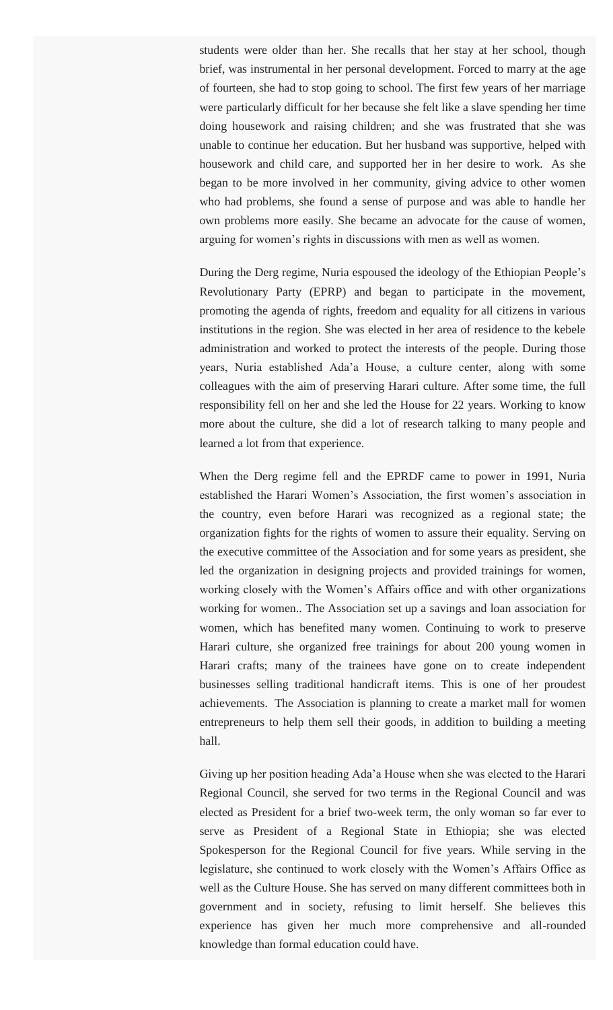students were older than her. She recalls that her stay at her school, though brief, was instrumental in her personal development. Forced to marry at the age of fourteen, she had to stop going to school. The first few years of her marriage were particularly difficult for her because she felt like a slave spending her time doing housework and raising children; and she was frustrated that she was unable to continue her education. But her husband was supportive, helped with housework and child care, and supported her in her desire to work. As she began to be more involved in her community, giving advice to other women who had problems, she found a sense of purpose and was able to handle her own problems more easily. She became an advocate for the cause of women, arguing for women's rights in discussions with men as well as women.

During the Derg regime, Nuria espoused the ideology of the Ethiopian People's Revolutionary Party (EPRP) and began to participate in the movement, promoting the agenda of rights, freedom and equality for all citizens in various institutions in the region. She was elected in her area of residence to the kebele administration and worked to protect the interests of the people. During those years, Nuria established Ada'a House, a culture center, along with some colleagues with the aim of preserving Harari culture. After some time, the full responsibility fell on her and she led the House for 22 years. Working to know more about the culture, she did a lot of research talking to many people and learned a lot from that experience.

When the Derg regime fell and the EPRDF came to power in 1991, Nuria established the Harari Women's Association, the first women's association in the country, even before Harari was recognized as a regional state; the organization fights for the rights of women to assure their equality. Serving on the executive committee of the Association and for some years as president, she led the organization in designing projects and provided trainings for women, working closely with the Women's Affairs office and with other organizations working for women.. The Association set up a savings and loan association for women, which has benefited many women. Continuing to work to preserve Harari culture, she organized free trainings for about 200 young women in Harari crafts; many of the trainees have gone on to create independent businesses selling traditional handicraft items. This is one of her proudest achievements. The Association is planning to create a market mall for women entrepreneurs to help them sell their goods, in addition to building a meeting hall.

Giving up her position heading Ada'a House when she was elected to the Harari Regional Council, she served for two terms in the Regional Council and was elected as President for a brief two-week term, the only woman so far ever to serve as President of a Regional State in Ethiopia; she was elected Spokesperson for the Regional Council for five years. While serving in the legislature, she continued to work closely with the Women's Affairs Office as well as the Culture House. She has served on many different committees both in government and in society, refusing to limit herself. She believes this experience has given her much more comprehensive and all-rounded knowledge than formal education could have.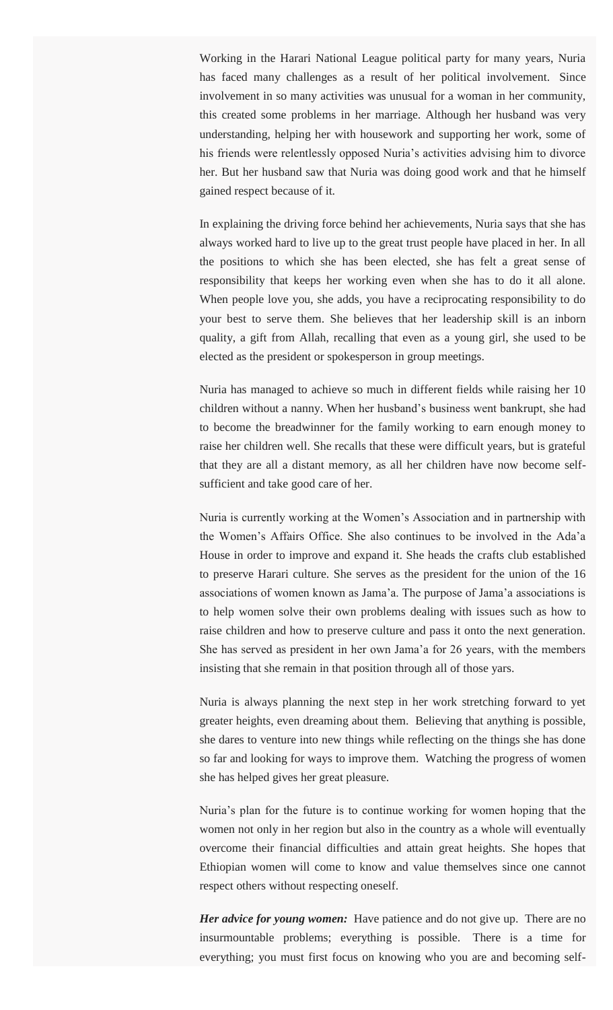Working in the Harari National League political party for many years, Nuria has faced many challenges as a result of her political involvement. Since involvement in so many activities was unusual for a woman in her community, this created some problems in her marriage. Although her husband was very understanding, helping her with housework and supporting her work, some of his friends were relentlessly opposed Nuria's activities advising him to divorce her. But her husband saw that Nuria was doing good work and that he himself gained respect because of it.

In explaining the driving force behind her achievements, Nuria says that she has always worked hard to live up to the great trust people have placed in her. In all the positions to which she has been elected, she has felt a great sense of responsibility that keeps her working even when she has to do it all alone. When people love you, she adds, you have a reciprocating responsibility to do your best to serve them. She believes that her leadership skill is an inborn quality, a gift from Allah, recalling that even as a young girl, she used to be elected as the president or spokesperson in group meetings.

Nuria has managed to achieve so much in different fields while raising her 10 children without a nanny. When her husband's business went bankrupt, she had to become the breadwinner for the family working to earn enough money to raise her children well. She recalls that these were difficult years, but is grateful that they are all a distant memory, as all her children have now become selfsufficient and take good care of her.

Nuria is currently working at the Women's Association and in partnership with the Women's Affairs Office. She also continues to be involved in the Ada'a House in order to improve and expand it. She heads the crafts club established to preserve Harari culture. She serves as the president for the union of the 16 associations of women known as Jama'a. The purpose of Jama'a associations is to help women solve their own problems dealing with issues such as how to raise children and how to preserve culture and pass it onto the next generation. She has served as president in her own Jama'a for 26 years, with the members insisting that she remain in that position through all of those yars.

Nuria is always planning the next step in her work stretching forward to yet greater heights, even dreaming about them. Believing that anything is possible, she dares to venture into new things while reflecting on the things she has done so far and looking for ways to improve them. Watching the progress of women she has helped gives her great pleasure.

Nuria's plan for the future is to continue working for women hoping that the women not only in her region but also in the country as a whole will eventually overcome their financial difficulties and attain great heights. She hopes that Ethiopian women will come to know and value themselves since one cannot respect others without respecting oneself.

*Her advice for young women:* Have patience and do not give up. There are no insurmountable problems; everything is possible. There is a time for everything; you must first focus on knowing who you are and becoming self